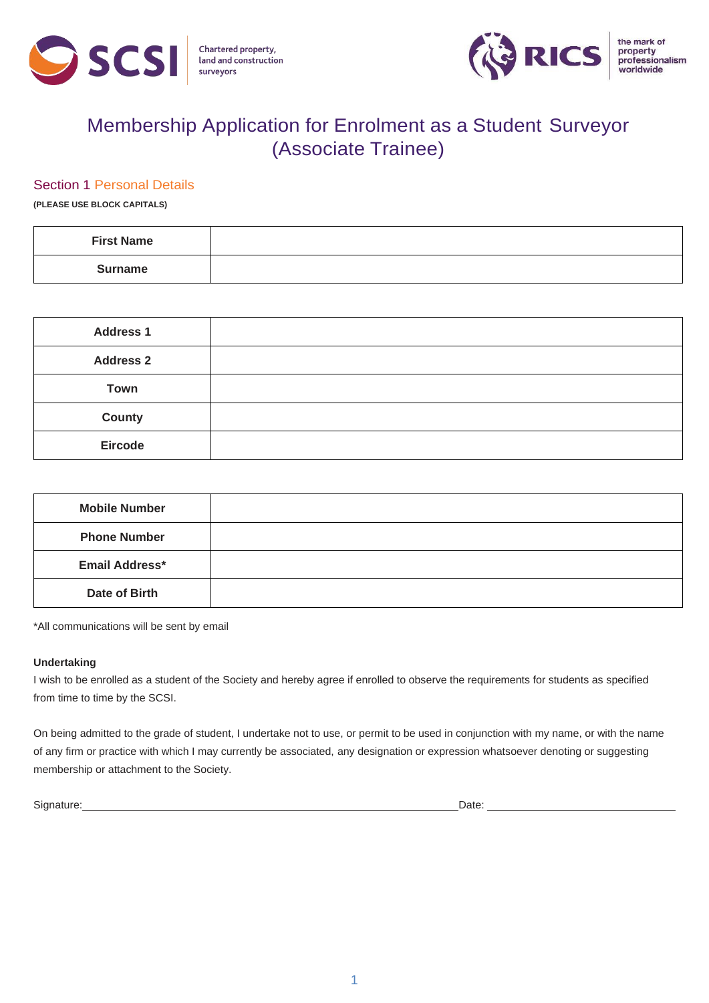



# Membership Application for Enrolment as a Student Surveyor (Associate Trainee)

#### Section 1 Personal Details

**(PLEASE USE BLOCK CAPITALS)**

| <b>First Name</b> |  |
|-------------------|--|
| <b>Surname</b>    |  |

| <b>Address 1</b> |  |
|------------------|--|
| <b>Address 2</b> |  |
| <b>Town</b>      |  |
| <b>County</b>    |  |
| <b>Eircode</b>   |  |

| <b>Mobile Number</b>  |  |
|-----------------------|--|
| <b>Phone Number</b>   |  |
| <b>Email Address*</b> |  |
| Date of Birth         |  |

\*All communications will be sent by email

#### **Undertaking**

I wish to be enrolled as a student of the Society and hereby agree if enrolled to observe the requirements for students as specified from time to time by the SCSI.

On being admitted to the grade of student, I undertake not to use, or permit to be used in conjunction with my name, or with the name of any firm or practice with which I may currently be associated, any designation or expression whatsoever denoting or suggesting membership or attachment to the Society.

Signature: Date: Description of the contract of the contract of the contract of the contract of the contract of the contract of the contract of the contract of the contract of the contract of the contract of the contract o